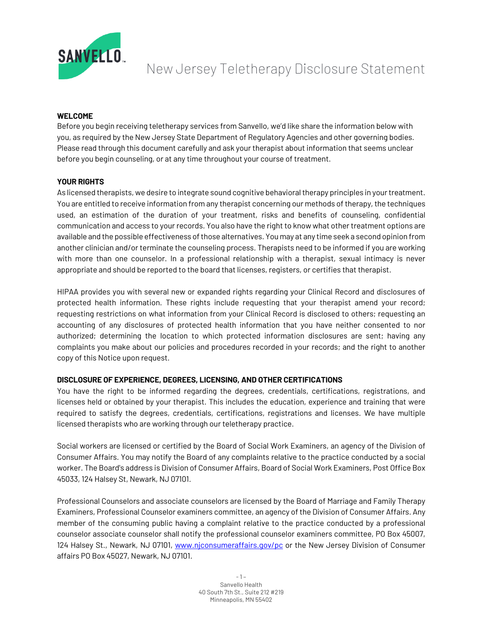

# New Jersey Teletherapy Disclosure Statement

## **WELCOME**

Before you begin receiving teletherapy services from Sanvello, we'd like share the information below with you, as required by the New Jersey State Department of Regulatory Agencies and other governing bodies. Please read through this document carefully and ask your therapist about information that seems unclear before you begin counseling, or at any time throughout your course of treatment.

## **YOUR RIGHTS**

As licensed therapists, we desire to integrate sound cognitive behavioral therapy principles in your treatment. You are entitled to receive information from any therapist concerning our methods of therapy, the techniques used, an estimation of the duration of your treatment, risks and benefits of counseling, confidential communication and access to your records. You also have the right to know what other treatment options are available and the possible effectiveness of those alternatives. You may at any time seek a second opinion from another clinician and/or terminate the counseling process. Therapists need to be informed if you are working with more than one counselor. In a professional relationship with a therapist, sexual intimacy is never appropriate and should be reported to the board that licenses, registers, or certifies that therapist.

HIPAA provides you with several new or expanded rights regarding your Clinical Record and disclosures of protected health information. These rights include requesting that your therapist amend your record; requesting restrictions on what information from your Clinical Record is disclosed to others; requesting an accounting of any disclosures of protected health information that you have neither consented to nor authorized; determining the location to which protected information disclosures are sent; having any complaints you make about our policies and procedures recorded in your records; and the right to another copy of this Notice upon request.

# **DISCLOSURE OF EXPERIENCE, DEGREES, LICENSING, AND OTHER CERTIFICATIONS**

You have the right to be informed regarding the degrees, credentials, certifications, registrations, and licenses held or obtained by your therapist. This includes the education, experience and training that were required to satisfy the degrees, credentials, certifications, registrations and licenses. We have multiple licensed therapists who are working through our teletherapy practice.

Social workers are licensed or certified by the Board of Social Work Examiners, an agency of the Division of Consumer Affairs. You may notify the Board of any complaints relative to the practice conducted by a social worker. The Board's address is Division of Consumer Affairs, Board of Social Work Examiners, Post Office Box 45033, 124 Halsey St, Newark, NJ 07101.

Professional Counselors and associate counselors are licensed by the Board of Marriage and Family Therapy Examiners, Professional Counselor examiners committee, an agency of the Division of Consumer Affairs. Any member of the consuming public having a complaint relative to the practice conducted by a professional counselor associate counselor shall notify the professional counselor examiners committee, PO Box 45007, 124 Halsey St., Newark, NJ 07101, www.njconsumeraffairs.gov/pc or the New Jersey Division of Consumer affairs PO Box 45027, Newark, NJ 07101.